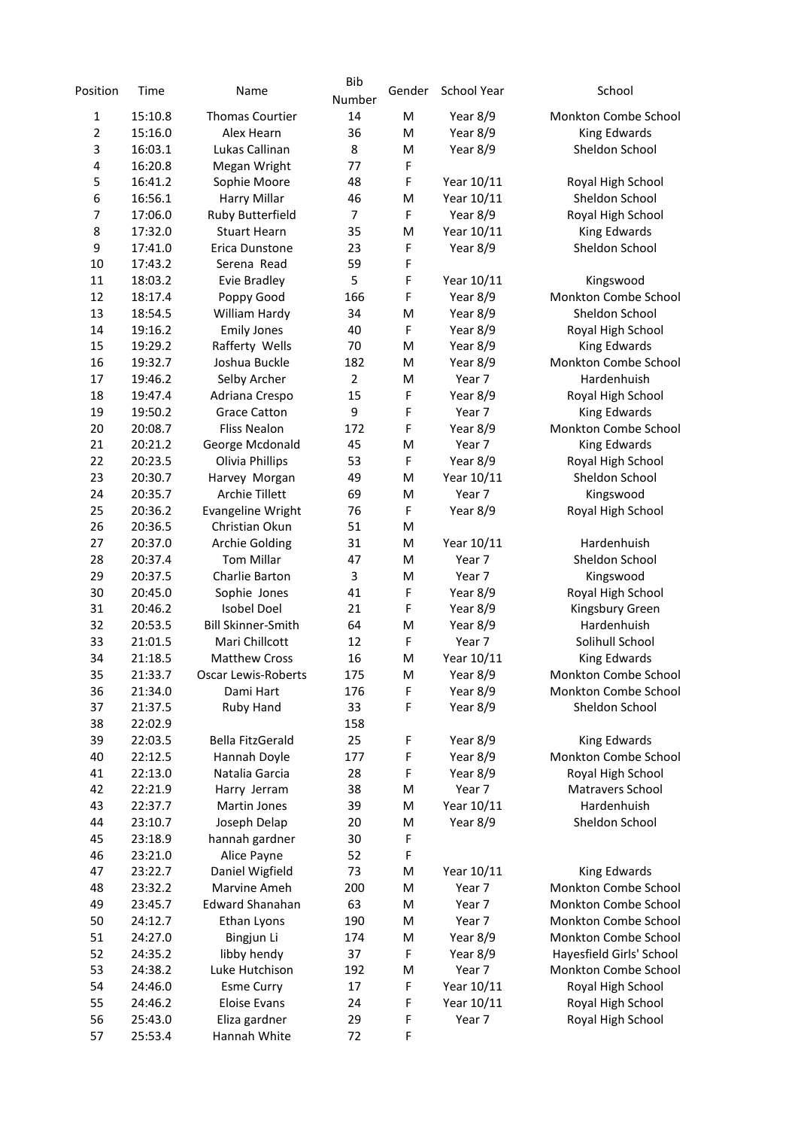| Position       | Time               | Name                      | <b>Bib</b><br>Number | Gender | School Year | School                   |
|----------------|--------------------|---------------------------|----------------------|--------|-------------|--------------------------|
| 1              | 15:10.8            | <b>Thomas Courtier</b>    | 14                   | M      | Year 8/9    | Monkton Combe School     |
| $\overline{2}$ | 15:16.0            | Alex Hearn                | 36                   | M      | Year 8/9    | King Edwards             |
| 3              | 16:03.1            | Lukas Callinan            | 8                    | M      | Year 8/9    | Sheldon School           |
| 4              | 16:20.8            | Megan Wright              | 77                   | F      |             |                          |
| 5              | 16:41.2            | Sophie Moore              | 48                   | F      | Year 10/11  | Royal High School        |
| 6              | 16:56.1            | <b>Harry Millar</b>       | 46                   | M      | Year 10/11  | Sheldon School           |
| 7              | 17:06.0            | Ruby Butterfield          | 7                    | F      | Year 8/9    | Royal High School        |
| 8              | 17:32.0            | <b>Stuart Hearn</b>       | 35                   | M      | Year 10/11  | King Edwards             |
| 9              | 17:41.0            | Erica Dunstone            | 23                   | F      | Year 8/9    | Sheldon School           |
| 10             | 17:43.2            | Serena Read               | 59                   | F      |             |                          |
| 11             | 18:03.2            | <b>Evie Bradley</b>       | 5                    | F      | Year 10/11  | Kingswood                |
| 12             | 18:17.4            | Poppy Good                | 166                  | F      | Year 8/9    | Monkton Combe School     |
| 13             | 18:54.5            | William Hardy             | 34                   | M      | Year 8/9    | Sheldon School           |
| 14             | 19:16.2            | <b>Emily Jones</b>        | 40                   | F      | Year 8/9    | Royal High School        |
| 15             | 19:29.2            | Rafferty Wells            | 70                   | M      | Year 8/9    | <b>King Edwards</b>      |
| 16             | 19:32.7            | Joshua Buckle             | 182                  | M      | Year 8/9    | Monkton Combe School     |
| 17             | 19:46.2            | Selby Archer              | $\overline{2}$       | M      | Year 7      | Hardenhuish              |
| 18             | 19:47.4            | Adriana Crespo            | 15                   | F      | Year 8/9    | Royal High School        |
| 19             | 19:50.2            | <b>Grace Catton</b>       | 9                    | F      | Year 7      | <b>King Edwards</b>      |
| 20             | 20:08.7            | <b>Fliss Nealon</b>       | 172                  | F      | Year 8/9    | Monkton Combe School     |
| 21             | 20:21.2            | George Mcdonald           | 45                   | M      | Year 7      | King Edwards             |
| 22             | 20:23.5            | Olivia Phillips           | 53                   | F      | Year 8/9    | Royal High School        |
| 23             | 20:30.7            | Harvey Morgan             | 49                   | M      | Year 10/11  | Sheldon School           |
| 24             | 20:35.7            | <b>Archie Tillett</b>     | 69                   | M      | Year 7      | Kingswood                |
| 25             | 20:36.2            | <b>Evangeline Wright</b>  | 76                   | F      | Year 8/9    | Royal High School        |
| 26             | 20:36.5            | Christian Okun            | 51                   | M      |             |                          |
| 27             | 20:37.0            | <b>Archie Golding</b>     | 31                   | M      | Year 10/11  | Hardenhuish              |
| 28             | 20:37.4            | <b>Tom Millar</b>         | 47                   | M      | Year 7      | Sheldon School           |
| 29             | 20:37.5            | Charlie Barton            | 3                    | M      | Year 7      | Kingswood                |
| 30             | 20:45.0            | Sophie Jones              | 41                   | F      | Year 8/9    | Royal High School        |
| 31             | 20:46.2            | <b>Isobel Doel</b>        | 21                   | F      | Year 8/9    | Kingsbury Green          |
| 32             | 20:53.5            | <b>Bill Skinner-Smith</b> | 64                   | M      | Year 8/9    | Hardenhuish              |
| 33             | 21:01.5            | Mari Chillcott            | 12                   | F      | Year 7      | Solihull School          |
| 34             | 21:18.5            | <b>Matthew Cross</b>      | 16                   | M      | Year 10/11  | King Edwards             |
| 35             | 21:33.7            | Oscar Lewis-Roberts       | 175                  | M      | Year 8/9    | Monkton Combe School     |
| 36             | 21:34.0            | Dami Hart                 | 176                  | F      | Year 8/9    | Monkton Combe School     |
| 37             | 21:37.5            | Ruby Hand                 | 33                   | F      | Year 8/9    | Sheldon School           |
| 38             | 22:02.9            |                           | 158                  |        |             |                          |
| 39             | 22:03.5            | Bella FitzGerald          | 25                   | F      | Year 8/9    | King Edwards             |
| 40             | 22:12.5            | Hannah Doyle              | 177                  | F      | Year 8/9    | Monkton Combe School     |
| 41             | 22:13.0            | Natalia Garcia            | 28                   | F      | Year 8/9    | Royal High School        |
| 42             | 22:21.9            | Harry Jerram              | 38                   | M      | Year 7      | Matravers School         |
| 43             | 22:37.7            | Martin Jones              | 39                   | M      | Year 10/11  | Hardenhuish              |
| 44             | 23:10.7            | Joseph Delap              | 20                   | M      | Year 8/9    | Sheldon School           |
| 45             | 23:18.9            | hannah gardner            | 30                   | F      |             |                          |
| 46             | 23:21.0            | Alice Payne               | 52                   | F      |             |                          |
| 47             | 23:22.7            | Daniel Wigfield           | 73                   | M      | Year 10/11  | <b>King Edwards</b>      |
| 48             | 23:32.2            | Marvine Ameh              | 200                  | M      | Year 7      | Monkton Combe School     |
| 49             |                    | <b>Edward Shanahan</b>    | 63                   | M      | Year 7      | Monkton Combe School     |
| 50             | 23:45.7<br>24:12.7 | Ethan Lyons               | 190                  | M      | Year 7      | Monkton Combe School     |
|                |                    |                           |                      |        |             |                          |
| 51<br>52       | 24:27.0            | Bingjun Li                | 174<br>37            | M<br>F | Year 8/9    | Monkton Combe School     |
|                | 24:35.2            | libby hendy               |                      |        | Year 8/9    | Hayesfield Girls' School |
| 53             | 24:38.2            | Luke Hutchison            | 192                  | M      | Year 7      | Monkton Combe School     |
| 54             | 24:46.0            | <b>Esme Curry</b>         | 17                   | F      | Year 10/11  | Royal High School        |
| 55             | 24:46.2            | <b>Eloise Evans</b>       | 24                   | F      | Year 10/11  | Royal High School        |
| 56             | 25:43.0            | Eliza gardner             | 29                   | F      | Year 7      | Royal High School        |
| 57             | 25:53.4            | Hannah White              | 72                   | F      |             |                          |